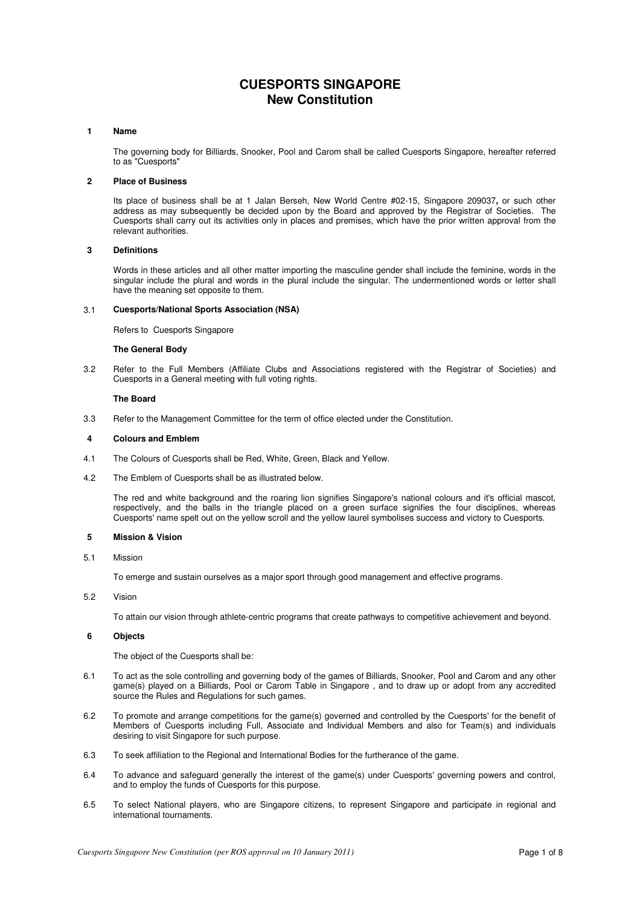# **CUESPORTS SINGAPORE New Constitution**

#### **1 Name**

 The governing body for Billiards, Snooker, Pool and Carom shall be called Cuesports Singapore, hereafter referred to as "Cuesports"

### **2 Place of Business**

Its place of business shall be at 1 Jalan Berseh, New World Centre #02-15, Singapore 209037**,** or such other address as may subsequently be decided upon by the Board and approved by the Registrar of Societies. The Cuesports shall carry out its activities only in places and premises, which have the prior written approval from the relevant authorities.

#### **3 Definitions**

 Words in these articles and all other matter importing the masculine gender shall include the feminine, words in the singular include the plural and words in the plural include the singular. The undermentioned words or letter shall have the meaning set opposite to them.

### 3.1 **Cuesports/National Sports Association (NSA)**

Refers to Cuesports Singapore

#### **The General Body**

3.2 Refer to the Full Members (Affiliate Clubs and Associations registered with the Registrar of Societies) and Cuesports in a General meeting with full voting rights.

#### **The Board**

3.3 Refer to the Management Committee for the term of office elected under the Constitution.

#### **4 Colours and Emblem**

- 4.1 The Colours of Cuesports shall be Red, White, Green, Black and Yellow.
- 4.2 The Emblem of Cuesports shall be as illustrated below.

 The red and white background and the roaring lion signifies Singapore's national colours and it's official mascot, respectively, and the balls in the triangle placed on a green surface signifies the four disciplines, whereas Cuesports' name spelt out on the yellow scroll and the yellow laurel symbolises success and victory to Cuesports.

### **5 Mission & Vision**

5.1 Mission

To emerge and sustain ourselves as a major sport through good management and effective programs.

5.2 Vision

To attain our vision through athlete-centric programs that create pathways to competitive achievement and beyond.

### **6 Objects**

The object of the Cuesports shall be:

- 6.1 To act as the sole controlling and governing body of the games of Billiards, Snooker, Pool and Carom and any other game(s) played on a Billiards, Pool or Carom Table in Singapore , and to draw up or adopt from any accredited source the Rules and Regulations for such games.
- 6.2 To promote and arrange competitions for the game(s) governed and controlled by the Cuesports' for the benefit of Members of Cuesports including Full, Associate and Individual Members and also for Team(s) and individuals desiring to visit Singapore for such purpose.
- 6.3 To seek affiliation to the Regional and International Bodies for the furtherance of the game.
- 6.4 To advance and safeguard generally the interest of the game(s) under Cuesports' governing powers and control, and to employ the funds of Cuesports for this purpose.
- 6.5 To select National players, who are Singapore citizens, to represent Singapore and participate in regional and international tournaments.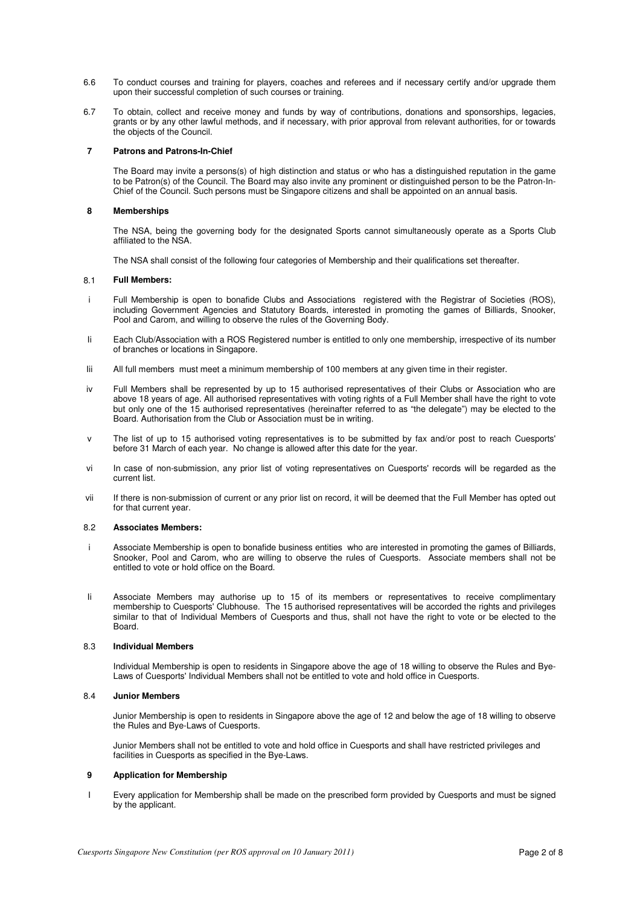- 6.6 To conduct courses and training for players, coaches and referees and if necessary certify and/or upgrade them upon their successful completion of such courses or training.
- 6.7 To obtain, collect and receive money and funds by way of contributions, donations and sponsorships, legacies, grants or by any other lawful methods, and if necessary, with prior approval from relevant authorities, for or towards the objects of the Council.

### **7 Patrons and Patrons-In-Chief**

 The Board may invite a persons(s) of high distinction and status or who has a distinguished reputation in the game to be Patron(s) of the Council. The Board may also invite any prominent or distinguished person to be the Patron-In-Chief of the Council. Such persons must be Singapore citizens and shall be appointed on an annual basis.

### **8 Memberships**

 The NSA, being the governing body for the designated Sports cannot simultaneously operate as a Sports Club affiliated to the NSA.

The NSA shall consist of the following four categories of Membership and their qualifications set thereafter.

#### 8.1 **Full Members:**

- i Full Membership is open to bonafide Clubs and Associations registered with the Registrar of Societies (ROS), including Government Agencies and Statutory Boards, interested in promoting the games of Billiards, Snooker, Pool and Carom, and willing to observe the rules of the Governing Body.
- Ii Each Club/Association with a ROS Registered number is entitled to only one membership, irrespective of its number of branches or locations in Singapore.
- Iii All full members must meet a minimum membership of 100 members at any given time in their register.
- iv Full Members shall be represented by up to 15 authorised representatives of their Clubs or Association who are above 18 years of age. All authorised representatives with voting rights of a Full Member shall have the right to vote but only one of the 15 authorised representatives (hereinafter referred to as "the delegate") may be elected to the Board. Authorisation from the Club or Association must be in writing.
- v The list of up to 15 authorised voting representatives is to be submitted by fax and/or post to reach Cuesports' before 31 March of each year. No change is allowed after this date for the year.
- vi In case of non-submission, any prior list of voting representatives on Cuesports' records will be regarded as the current list.
- vii If there is non-submission of current or any prior list on record, it will be deemed that the Full Member has opted out for that current year.

#### 8.2 **Associates Members:**

- Associate Membership is open to bonafide business entities who are interested in promoting the games of Billiards, Snooker, Pool and Carom, who are willing to observe the rules of Cuesports. Associate members shall not be entitled to vote or hold office on the Board.
- Ii Associate Members may authorise up to 15 of its members or representatives to receive complimentary membership to Cuesports' Clubhouse. The 15 authorised representatives will be accorded the rights and privileges similar to that of Individual Members of Cuesports and thus, shall not have the right to vote or be elected to the Board.

### 8.3 **Individual Members**

 Individual Membership is open to residents in Singapore above the age of 18 willing to observe the Rules and Bye-Laws of Cuesports' Individual Members shall not be entitled to vote and hold office in Cuesports.

### 8.4 **Junior Members**

 Junior Membership is open to residents in Singapore above the age of 12 and below the age of 18 willing to observe the Rules and Bye-Laws of Cuesports.

 Junior Members shall not be entitled to vote and hold office in Cuesports and shall have restricted privileges and facilities in Cuesports as specified in the Bye-Laws.

### **9 Application for Membership**

I Every application for Membership shall be made on the prescribed form provided by Cuesports and must be signed by the applicant.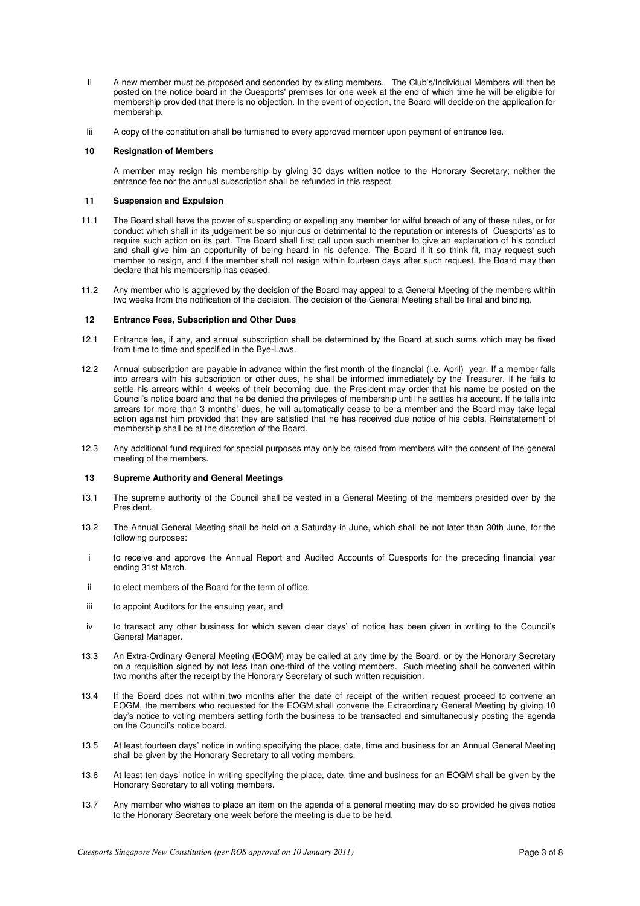- Ii A new member must be proposed and seconded by existing members. The Club's/Individual Members will then be posted on the notice board in the Cuesports' premises for one week at the end of which time he will be eligible for membership provided that there is no objection. In the event of objection, the Board will decide on the application for membership.
- Iii A copy of the constitution shall be furnished to every approved member upon payment of entrance fee.

### **10 Resignation of Members**

 A member may resign his membership by giving 30 days written notice to the Honorary Secretary; neither the entrance fee nor the annual subscription shall be refunded in this respect.

### **11 Suspension and Expulsion**

- 11.1 The Board shall have the power of suspending or expelling any member for wilful breach of any of these rules, or for conduct which shall in its judgement be so injurious or detrimental to the reputation or interests of Cuesports' as to require such action on its part. The Board shall first call upon such member to give an explanation of his conduct and shall give him an opportunity of being heard in his defence. The Board if it so think fit, may request such member to resign, and if the member shall not resign within fourteen days after such request, the Board may then declare that his membership has ceased.
- 11.2 Any member who is aggrieved by the decision of the Board may appeal to a General Meeting of the members within two weeks from the notification of the decision. The decision of the General Meeting shall be final and binding.

#### **12 Entrance Fees, Subscription and Other Dues**

- 12.1 Entrance fee**,** if any, and annual subscription shall be determined by the Board at such sums which may be fixed from time to time and specified in the Bye-Laws.
- 12.2 Annual subscription are payable in advance within the first month of the financial (i.e. April) year. If a member falls into arrears with his subscription or other dues, he shall be informed immediately by the Treasurer. If he fails to settle his arrears within 4 weeks of their becoming due, the President may order that his name be posted on the Council's notice board and that he be denied the privileges of membership until he settles his account. If he falls into arrears for more than 3 months' dues, he will automatically cease to be a member and the Board may take legal action against him provided that they are satisfied that he has received due notice of his debts. Reinstatement of membership shall be at the discretion of the Board.
- 12.3 Any additional fund required for special purposes may only be raised from members with the consent of the general meeting of the members.

### **13 Supreme Authority and General Meetings**

- 13.1 The supreme authority of the Council shall be vested in a General Meeting of the members presided over by the President.
- 13.2 The Annual General Meeting shall be held on a Saturday in June, which shall be not later than 30th June, for the following purposes:
- i to receive and approve the Annual Report and Audited Accounts of Cuesports for the preceding financial year ending 31st March.
- ii to elect members of the Board for the term of office.
- iii to appoint Auditors for the ensuing year, and
- iv to transact any other business for which seven clear days' of notice has been given in writing to the Council's General Manager.
- 13.3 An Extra-Ordinary General Meeting (EOGM) may be called at any time by the Board, or by the Honorary Secretary on a requisition signed by not less than one-third of the voting members. Such meeting shall be convened within two months after the receipt by the Honorary Secretary of such written requisition.
- 13.4 If the Board does not within two months after the date of receipt of the written request proceed to convene an EOGM, the members who requested for the EOGM shall convene the Extraordinary General Meeting by giving 10 day's notice to voting members setting forth the business to be transacted and simultaneously posting the agenda on the Council's notice board.
- 13.5 At least fourteen days' notice in writing specifying the place, date, time and business for an Annual General Meeting shall be given by the Honorary Secretary to all voting members.
- 13.6 At least ten days' notice in writing specifying the place, date, time and business for an EOGM shall be given by the Honorary Secretary to all voting members.
- 13.7 Any member who wishes to place an item on the agenda of a general meeting may do so provided he gives notice to the Honorary Secretary one week before the meeting is due to be held.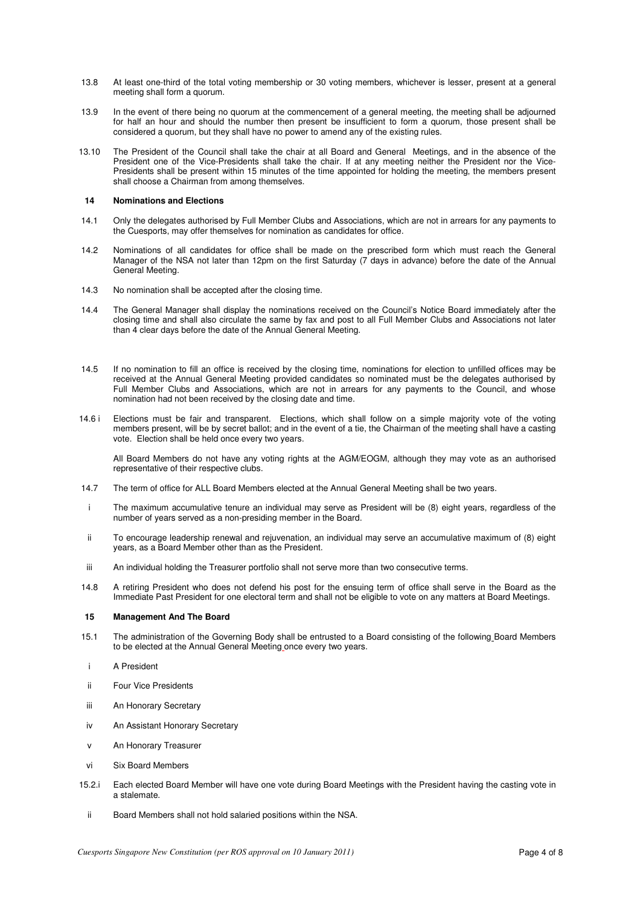- 13.8 At least one-third of the total voting membership or 30 voting members, whichever is lesser, present at a general meeting shall form a quorum.
- 13.9 In the event of there being no quorum at the commencement of a general meeting, the meeting shall be adjourned for half an hour and should the number then present be insufficient to form a quorum, those present shall be considered a quorum, but they shall have no power to amend any of the existing rules.
- 13.10 The President of the Council shall take the chair at all Board and General Meetings, and in the absence of the President one of the Vice-Presidents shall take the chair. If at any meeting neither the President nor the Vice-Presidents shall be present within 15 minutes of the time appointed for holding the meeting, the members present shall choose a Chairman from among themselves.

### **14 Nominations and Elections**

- 14.1 Only the delegates authorised by Full Member Clubs and Associations, which are not in arrears for any payments to the Cuesports, may offer themselves for nomination as candidates for office.
- 14.2 Nominations of all candidates for office shall be made on the prescribed form which must reach the General Manager of the NSA not later than 12pm on the first Saturday (7 days in advance) before the date of the Annual General Meeting.
- 14.3 No nomination shall be accepted after the closing time.
- 14.4 The General Manager shall display the nominations received on the Council's Notice Board immediately after the closing time and shall also circulate the same by fax and post to all Full Member Clubs and Associations not later than 4 clear days before the date of the Annual General Meeting.
- 14.5 If no nomination to fill an office is received by the closing time, nominations for election to unfilled offices may be received at the Annual General Meeting provided candidates so nominated must be the delegates authorised by Full Member Clubs and Associations, which are not in arrears for any payments to the Council, and whose nomination had not been received by the closing date and time.
- 14.6 i Elections must be fair and transparent. Elections, which shall follow on a simple majority vote of the voting members present, will be by secret ballot; and in the event of a tie, the Chairman of the meeting shall have a casting vote. Election shall be held once every two years.

 All Board Members do not have any voting rights at the AGM/EOGM, although they may vote as an authorised representative of their respective clubs.

- 14.7 The term of office for ALL Board Members elected at the Annual General Meeting shall be two years.
- i The maximum accumulative tenure an individual may serve as President will be (8) eight years, regardless of the number of years served as a non-presiding member in the Board.
- ii To encourage leadership renewal and rejuvenation, an individual may serve an accumulative maximum of (8) eight years, as a Board Member other than as the President.
- iii An individual holding the Treasurer portfolio shall not serve more than two consecutive terms.
- 14.8 A retiring President who does not defend his post for the ensuing term of office shall serve in the Board as the Immediate Past President for one electoral term and shall not be eligible to vote on any matters at Board Meetings.

### **15 Management And The Board**

- 15.1 The administration of the Governing Body shall be entrusted to a Board consisting of the following Board Members to be elected at the Annual General Meeting once every two years.
- i A President
- ii Four Vice Presidents
- iii An Honorary Secretary
- iv An Assistant Honorary Secretary
- v An Honorary Treasurer
- vi Six Board Members
- 15.2.i Each elected Board Member will have one vote during Board Meetings with the President having the casting vote in a stalemate.
- ii Board Members shall not hold salaried positions within the NSA.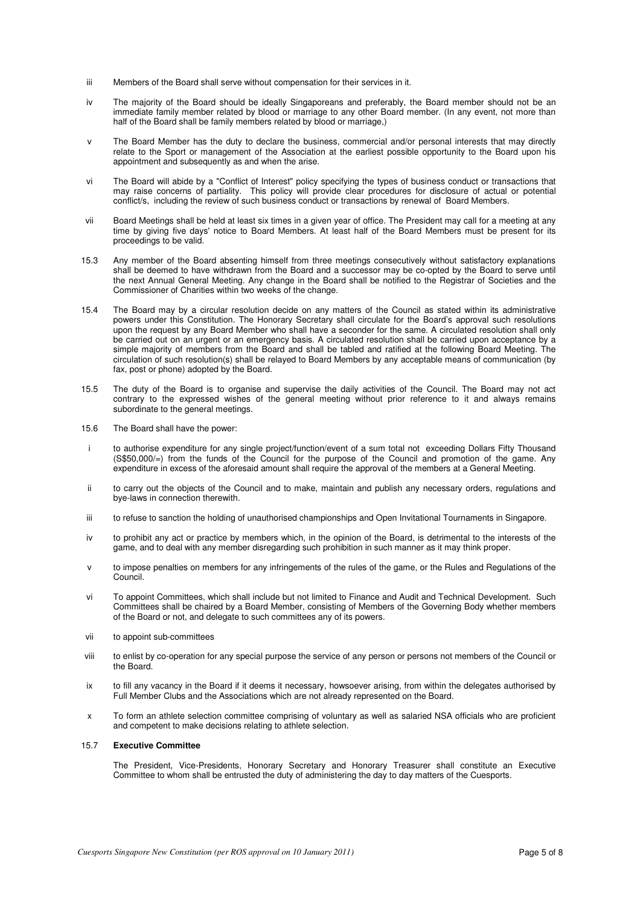- iii Members of the Board shall serve without compensation for their services in it.
- iv The majority of the Board should be ideally Singaporeans and preferably, the Board member should not be an immediate family member related by blood or marriage to any other Board member. (In any event, not more than half of the Board shall be family members related by blood or marriage,)
- v The Board Member has the duty to declare the business, commercial and/or personal interests that may directly relate to the Sport or management of the Association at the earliest possible opportunity to the Board upon his appointment and subsequently as and when the arise.
- vi The Board will abide by a "Conflict of Interest" policy specifying the types of business conduct or transactions that may raise concerns of partiality. This policy will provide clear procedures for disclosure of actual or potential conflict/s, including the review of such business conduct or transactions by renewal of Board Members.
- vii Board Meetings shall be held at least six times in a given year of office. The President may call for a meeting at any time by giving five days' notice to Board Members. At least half of the Board Members must be present for its proceedings to be valid.
- 15.3 Any member of the Board absenting himself from three meetings consecutively without satisfactory explanations shall be deemed to have withdrawn from the Board and a successor may be co-opted by the Board to serve until the next Annual General Meeting. Any change in the Board shall be notified to the Registrar of Societies and the Commissioner of Charities within two weeks of the change.
- 15.4 The Board may by a circular resolution decide on any matters of the Council as stated within its administrative powers under this Constitution. The Honorary Secretary shall circulate for the Board's approval such resolutions upon the request by any Board Member who shall have a seconder for the same. A circulated resolution shall only be carried out on an urgent or an emergency basis. A circulated resolution shall be carried upon acceptance by a simple majority of members from the Board and shall be tabled and ratified at the following Board Meeting. The circulation of such resolution(s) shall be relayed to Board Members by any acceptable means of communication (by fax, post or phone) adopted by the Board.
- 15.5 The duty of the Board is to organise and supervise the daily activities of the Council. The Board may not act contrary to the expressed wishes of the general meeting without prior reference to it and always remains subordinate to the general meetings.
- 15.6 The Board shall have the power:
- i to authorise expenditure for any single project/function/event of a sum total not exceeding Dollars Fifty Thousand (S\$50,000/=) from the funds of the Council for the purpose of the Council and promotion of the game. Any expenditure in excess of the aforesaid amount shall require the approval of the members at a General Meeting.
- ii to carry out the objects of the Council and to make, maintain and publish any necessary orders, regulations and bye-laws in connection therewith.
- iii to refuse to sanction the holding of unauthorised championships and Open Invitational Tournaments in Singapore.
- iv to prohibit any act or practice by members which, in the opinion of the Board, is detrimental to the interests of the game, and to deal with any member disregarding such prohibition in such manner as it may think proper.
- v to impose penalties on members for any infringements of the rules of the game, or the Rules and Regulations of the Council.
- vi To appoint Committees, which shall include but not limited to Finance and Audit and Technical Development. Such Committees shall be chaired by a Board Member, consisting of Members of the Governing Body whether members of the Board or not, and delegate to such committees any of its powers.
- vii to appoint sub-committees
- viii to enlist by co-operation for any special purpose the service of any person or persons not members of the Council or the Board.
- ix to fill any vacancy in the Board if it deems it necessary, howsoever arising, from within the delegates authorised by Full Member Clubs and the Associations which are not already represented on the Board.
- x To form an athlete selection committee comprising of voluntary as well as salaried NSA officials who are proficient and competent to make decisions relating to athlete selection.

# 15.7 **Executive Committee**

 The President, Vice-Presidents, Honorary Secretary and Honorary Treasurer shall constitute an Executive Committee to whom shall be entrusted the duty of administering the day to day matters of the Cuesports.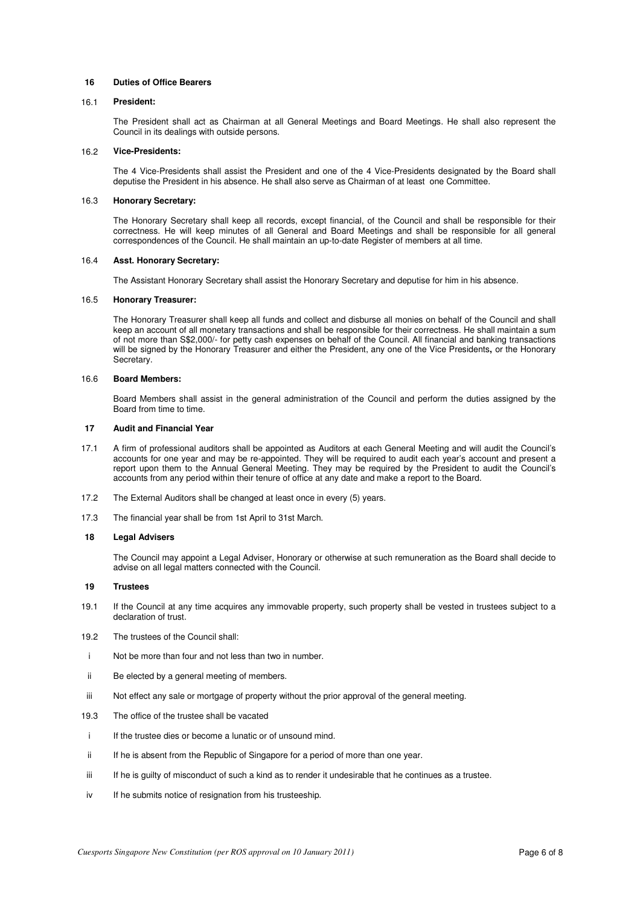### **16 Duties of Office Bearers**

#### 16.1 **President:**

 The President shall act as Chairman at all General Meetings and Board Meetings. He shall also represent the Council in its dealings with outside persons.

### 16.2 **Vice-Presidents:**

 The 4 Vice-Presidents shall assist the President and one of the 4 Vice-Presidents designated by the Board shall deputise the President in his absence. He shall also serve as Chairman of at least one Committee.

### 16.3 **Honorary Secretary:**

 The Honorary Secretary shall keep all records, except financial, of the Council and shall be responsible for their correctness. He will keep minutes of all General and Board Meetings and shall be responsible for all general correspondences of the Council. He shall maintain an up-to-date Register of members at all time.

#### 16.4 **Asst. Honorary Secretary:**

The Assistant Honorary Secretary shall assist the Honorary Secretary and deputise for him in his absence.

### 16.5 **Honorary Treasurer:**

 The Honorary Treasurer shall keep all funds and collect and disburse all monies on behalf of the Council and shall keep an account of all monetary transactions and shall be responsible for their correctness. He shall maintain a sum of not more than S\$2,000/- for petty cash expenses on behalf of the Council. All financial and banking transactions will be signed by the Honorary Treasurer and either the President, any one of the Vice Presidents**,** or the Honorary Secretary.

#### 16.6 **Board Members:**

 Board Members shall assist in the general administration of the Council and perform the duties assigned by the Board from time to time.

### **17 Audit and Financial Year**

- 17.1 A firm of professional auditors shall be appointed as Auditors at each General Meeting and will audit the Council's accounts for one year and may be re-appointed. They will be required to audit each year's account and present a report upon them to the Annual General Meeting. They may be required by the President to audit the Council's accounts from any period within their tenure of office at any date and make a report to the Board.
- 17.2 The External Auditors shall be changed at least once in every (5) years.
- 17.3 The financial year shall be from 1st April to 31st March.

### **18 Legal Advisers**

 The Council may appoint a Legal Adviser, Honorary or otherwise at such remuneration as the Board shall decide to advise on all legal matters connected with the Council.

### **19 Trustees**

- 19.1 If the Council at any time acquires any immovable property, such property shall be vested in trustees subject to a declaration of trust.
- 19.2 The trustees of the Council shall:
- i Not be more than four and not less than two in number.
- ii Be elected by a general meeting of members.
- iii Not effect any sale or mortgage of property without the prior approval of the general meeting.
- 19.3 The office of the trustee shall be vacated
- i If the trustee dies or become a lunatic or of unsound mind.
- ii If he is absent from the Republic of Singapore for a period of more than one year.
- iii If he is guilty of misconduct of such a kind as to render it undesirable that he continues as a trustee.
- iv If he submits notice of resignation from his trusteeship.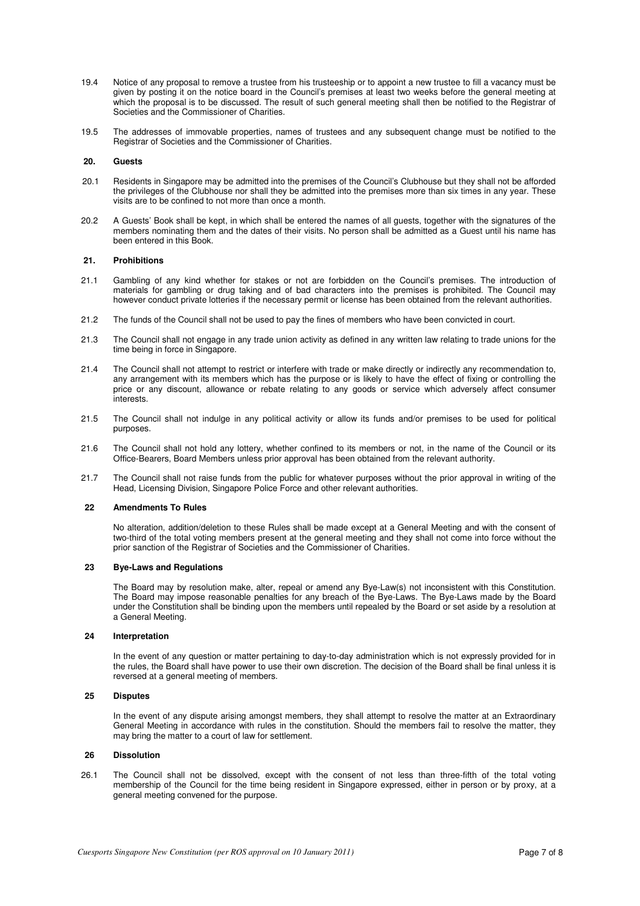- 19.4 Notice of any proposal to remove a trustee from his trusteeship or to appoint a new trustee to fill a vacancy must be given by posting it on the notice board in the Council's premises at least two weeks before the general meeting at which the proposal is to be discussed. The result of such general meeting shall then be notified to the Registrar of Societies and the Commissioner of Charities.
- 19.5 The addresses of immovable properties, names of trustees and any subsequent change must be notified to the Registrar of Societies and the Commissioner of Charities.

# **20. Guests**

- 20.1 Residents in Singapore may be admitted into the premises of the Council's Clubhouse but they shall not be afforded the privileges of the Clubhouse nor shall they be admitted into the premises more than six times in any year. These visits are to be confined to not more than once a month.
- 20.2 A Guests' Book shall be kept, in which shall be entered the names of all guests, together with the signatures of the members nominating them and the dates of their visits. No person shall be admitted as a Guest until his name has been entered in this Book.

### **21. Prohibitions**

- 21.1 Gambling of any kind whether for stakes or not are forbidden on the Council's premises. The introduction of materials for gambling or drug taking and of bad characters into the premises is prohibited. The Council may however conduct private lotteries if the necessary permit or license has been obtained from the relevant authorities.
- 21.2 The funds of the Council shall not be used to pay the fines of members who have been convicted in court.
- 21.3 The Council shall not engage in any trade union activity as defined in any written law relating to trade unions for the time being in force in Singapore.
- 21.4 The Council shall not attempt to restrict or interfere with trade or make directly or indirectly any recommendation to, any arrangement with its members which has the purpose or is likely to have the effect of fixing or controlling the price or any discount, allowance or rebate relating to any goods or service which adversely affect consumer **interests**
- 21.5 The Council shall not indulge in any political activity or allow its funds and/or premises to be used for political purposes.
- 21.6 The Council shall not hold any lottery, whether confined to its members or not, in the name of the Council or its Office-Bearers, Board Members unless prior approval has been obtained from the relevant authority.
- 21.7 The Council shall not raise funds from the public for whatever purposes without the prior approval in writing of the Head, Licensing Division, Singapore Police Force and other relevant authorities.

### **22 Amendments To Rules**

 No alteration, addition/deletion to these Rules shall be made except at a General Meeting and with the consent of two-third of the total voting members present at the general meeting and they shall not come into force without the prior sanction of the Registrar of Societies and the Commissioner of Charities.

#### **23 Bye-Laws and Regulations**

 The Board may by resolution make, alter, repeal or amend any Bye-Law(s) not inconsistent with this Constitution. The Board may impose reasonable penalties for any breach of the Bye-Laws. The Bye-Laws made by the Board under the Constitution shall be binding upon the members until repealed by the Board or set aside by a resolution at a General Meeting.

#### **24 Interpretation**

 In the event of any question or matter pertaining to day-to-day administration which is not expressly provided for in the rules, the Board shall have power to use their own discretion. The decision of the Board shall be final unless it is reversed at a general meeting of members.

# **25 Disputes**

 In the event of any dispute arising amongst members, they shall attempt to resolve the matter at an Extraordinary General Meeting in accordance with rules in the constitution. Should the members fail to resolve the matter, they may bring the matter to a court of law for settlement.

### **26 Dissolution**

26.1 The Council shall not be dissolved, except with the consent of not less than three-fifth of the total voting membership of the Council for the time being resident in Singapore expressed, either in person or by proxy, at a general meeting convened for the purpose.